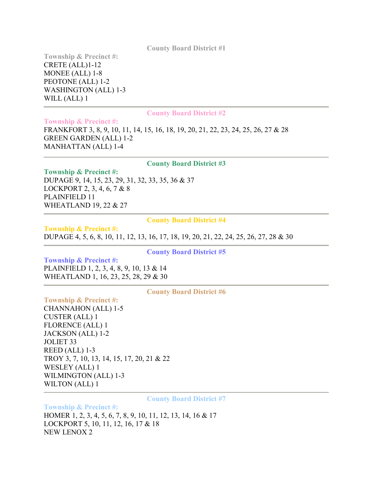**County Board District #1**

**Township & Precinct #:** CRETE (ALL)1-12 MONEE (ALL) 1-8 PEOTONE (ALL) 1-2 WASHINGTON (ALL) 1-3 WILL (ALL) 1

### **County Board District #2**

**Township & Precinct #:** FRANKFORT 3, 8, 9, 10, 11, 14, 15, 16, 18, 19, 20, 21, 22, 23, 24, 25, 26, 27 & 28 GREEN GARDEN (ALL) 1-2 MANHATTAN (ALL) 1-4

## **County Board District #3**

**Township & Precinct #:**  DUPAGE 9, 14, 15, 23, 29, 31, 32, 33, 35, 36 & 37 LOCKPORT 2, 3, 4, 6, 7 & 8 PLAINFIELD 11 WHEATLAND 19, 22 & 27

## **County Board District #4**

**Township & Precinct #:**  DUPAGE 4, 5, 6, 8, 10, 11, 12, 13, 16, 17, 18, 19, 20, 21, 22, 24, 25, 26, 27, 28 & 30

**County Board District #5**

**Township & Precinct #:**  PLAINFIELD 1, 2, 3, 4, 8, 9, 10, 13 & 14 WHEATLAND 1, 16, 23, 25, 28, 29 & 30

**County Board District #6**

**Township & Precinct #:**  CHANNAHON (ALL) 1-5 CUSTER (ALL) 1 FLORENCE (ALL) 1 JACKSON (ALL) 1-2 JOLIET 33 REED (ALL) 1-3 TROY 3, 7, 10, 13, 14, 15, 17, 20, 21 & 22 WESLEY (ALL) 1 WILMINGTON (ALL) 1-3 WILTON (ALL) 1

**County Board District #7**

**Township & Precinct #:** 

HOMER 1, 2, 3, 4, 5, 6, 7, 8, 9, 10, 11, 12, 13, 14, 16 & 17 LOCKPORT 5, 10, 11, 12, 16, 17 & 18 NEW LENOX 2